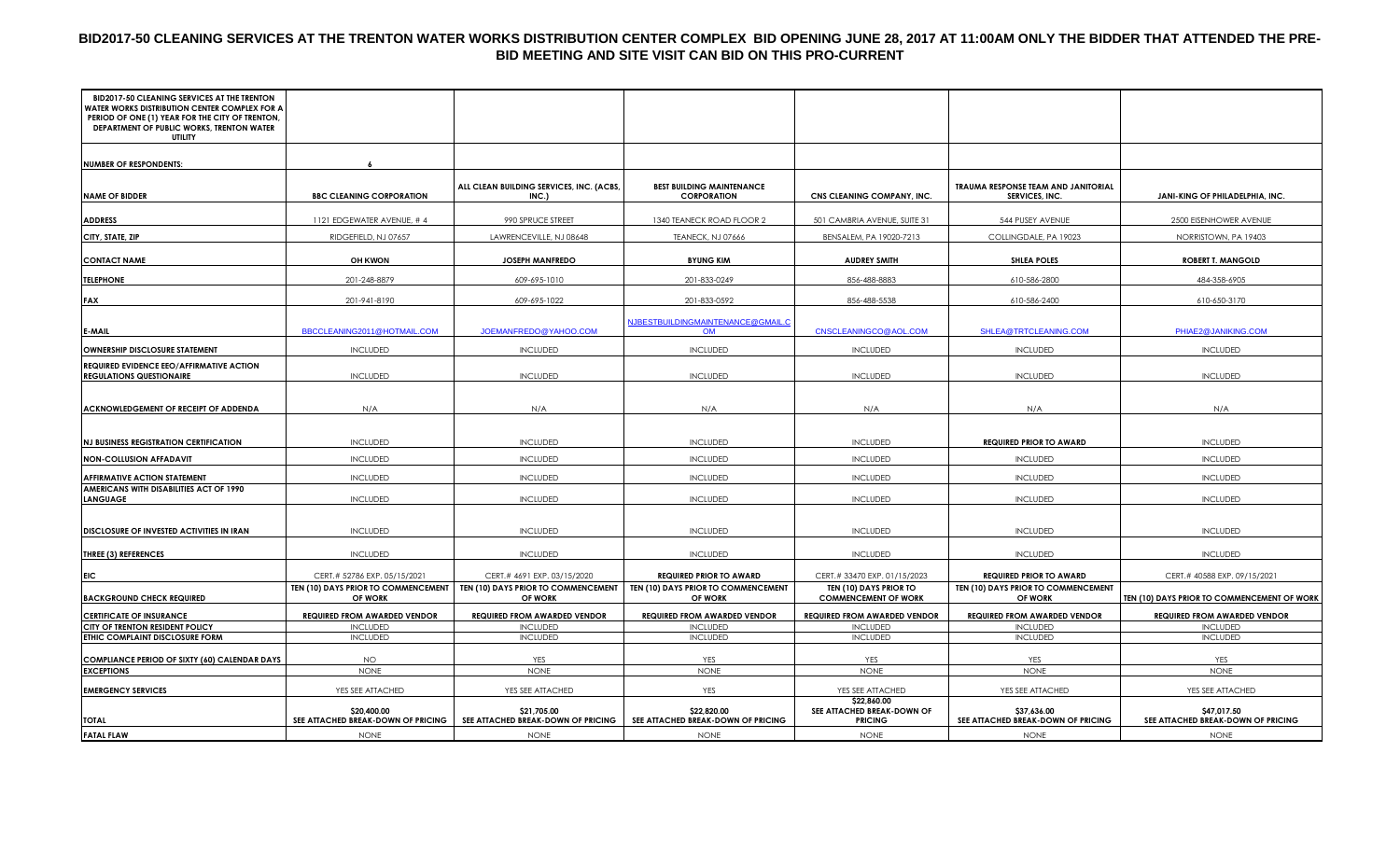# **BID2017-50 CLEANING SERVICES AT THE TRENTON WATER WORKS DISTRIBUTION CENTER COMPLEX BID OPENING JUNE 28, 2017 AT 11:00AM ONLY THE BIDDER THAT ATTENDED THE PRE-BID MEETING AND SITE VISIT CAN BID ON THIS PRO-CURRENT**

| BID2017-50 CLEANING SERVICES AT THE TRENTON<br><b>WATER WORKS DISTRIBUTION CENTER COMPLEX FOR A</b><br>PERIOD OF ONE (1) YEAR FOR THE CITY OF TRENTON,<br>DEPARTMENT OF PUBLIC WORKS, TRENTON WATER<br>UTILITY |                                                   |                                                   |                                                        |                                                             |                                                       |                                                   |
|----------------------------------------------------------------------------------------------------------------------------------------------------------------------------------------------------------------|---------------------------------------------------|---------------------------------------------------|--------------------------------------------------------|-------------------------------------------------------------|-------------------------------------------------------|---------------------------------------------------|
| <b>NUMBER OF RESPONDENTS:</b>                                                                                                                                                                                  |                                                   |                                                   |                                                        |                                                             |                                                       |                                                   |
| <b>NAME OF BIDDER</b>                                                                                                                                                                                          | <b>BBC CLEANING CORPORATION</b>                   | ALL CLEAN BUILDING SERVICES, INC. (ACBS,<br>INC.) | <b>BEST BUILDING MAINTENANCE</b><br><b>CORPORATION</b> | CNS CLEANING COMPANY, INC.                                  | TRAUMA RESPONSE TEAM AND JANITORIAL<br>SERVICES, INC. | JANI-KING OF PHILADELPHIA, INC.                   |
| <b>ADDRESS</b>                                                                                                                                                                                                 | 1121 EDGEWATER AVENUE, #4                         | 990 SPRUCE STREET                                 | 1340 TEANECK ROAD FLOOR 2                              | 501 CAMBRIA AVENUE, SUITE 31                                | 544 PUSEY AVENUE                                      | 2500 EISENHOWER AVENUE                            |
| CITY, STATE, ZIP                                                                                                                                                                                               | RIDGEFIELD, NJ 07657                              | LAWRENCEVILLE, NJ 08648                           | TEANECK, NJ 07666                                      | BENSALEM, PA 19020-7213                                     | COLLINGDALE, PA 19023                                 | NORRISTOWN, PA 19403                              |
| <b>CONTACT NAME</b>                                                                                                                                                                                            | <b>OH KWON</b>                                    | <b>JOSEPH MANFREDO</b>                            | <b>BYUNG KIM</b>                                       | <b>AUDREY SMITH</b>                                         | <b>SHLEA POLES</b>                                    | <b>ROBERT T. MANGOLD</b>                          |
| <b>TELEPHONE</b>                                                                                                                                                                                               | 201-248-8879                                      | 609-695-1010                                      | 201-833-0249                                           | 856-488-8883                                                | 610-586-2800                                          | 484-358-6905                                      |
| <b>FAX</b>                                                                                                                                                                                                     | 201-941-8190                                      | 609-695-1022                                      | 201-833-0592                                           | 856-488-5538                                                | 610-586-2400                                          | 610-650-3170                                      |
| E-MAIL                                                                                                                                                                                                         | BBCCLEANING2011@HOTMAIL.COM                       | JOEMANFREDO@YAHOO.COM                             | NJBESTBUILDINGMAINTENANCE@GMAIL.C<br><b>OM</b>         | CNSCLEANINGCO@AOL.COM                                       | SHLEA@TRTCLEANING.COM                                 | PHIAE2@JANIKING.COM                               |
| OWNERSHIP DISCLOSURE STATEMENT                                                                                                                                                                                 | <b>INCLUDED</b>                                   | <b>INCLUDED</b>                                   | <b>INCLUDED</b>                                        | <b>INCLUDED</b>                                             | <b>INCLUDED</b>                                       | <b>INCLUDED</b>                                   |
| REQUIRED EVIDENCE EEO/AFFIRMATIVE ACTION<br><b>REGULATIONS QUESTIONAIRE</b>                                                                                                                                    | <b>INCLUDED</b>                                   | <b>INCLUDED</b>                                   | <b>INCLUDED</b>                                        | <b>INCLUDED</b>                                             | <b>INCLUDED</b>                                       | <b>INCLUDED</b>                                   |
| ACKNOWLEDGEMENT OF RECEIPT OF ADDENDA                                                                                                                                                                          | N/A                                               | N/A                                               | N/A                                                    | N/A                                                         | N/A                                                   | N/A                                               |
| <b>NJ BUSINESS REGISTRATION CERTIFICATION</b>                                                                                                                                                                  | <b>INCLUDED</b>                                   | <b>INCLUDED</b>                                   | <b>INCLUDED</b>                                        | <b>INCLUDED</b>                                             | <b>REQUIRED PRIOR TO AWARD</b>                        | <b>INCLUDED</b>                                   |
| <b>NON-COLLUSION AFFADAVIT</b>                                                                                                                                                                                 | <b>INCLUDED</b>                                   | <b>INCLUDED</b>                                   | <b>INCLUDED</b>                                        | <b>INCLUDED</b>                                             | <b>INCLUDED</b>                                       | <b>INCLUDED</b>                                   |
| <b>AFFIRMATIVE ACTION STATEMENT</b>                                                                                                                                                                            | <b>INCLUDED</b>                                   | <b>INCLUDED</b>                                   | <b>INCLUDED</b>                                        | <b>INCLUDED</b>                                             | <b>INCLUDED</b>                                       | <b>INCLUDED</b>                                   |
| AMERICANS WITH DISABILITIES ACT OF 1990<br><b>LANGUAGE</b>                                                                                                                                                     | <b>INCLUDED</b>                                   | <b>INCLUDED</b>                                   | <b>INCLUDED</b>                                        | <b>INCLUDED</b>                                             | <b>INCLUDED</b>                                       | <b>INCLUDED</b>                                   |
| DISCLOSURE OF INVESTED ACTIVITIES IN IRAN                                                                                                                                                                      | <b>INCLUDED</b>                                   | <b>INCLUDED</b>                                   | <b>INCLUDED</b>                                        | <b>INCLUDED</b>                                             | <b>INCLUDED</b>                                       | <b>INCLUDED</b>                                   |
| <b>THREE (3) REFERENCES</b>                                                                                                                                                                                    | <b>INCLUDED</b>                                   | <b>INCLUDED</b>                                   | <b>INCLUDED</b>                                        | <b>INCLUDED</b>                                             | <b>INCLUDED</b>                                       | <b>INCLUDED</b>                                   |
| EIC                                                                                                                                                                                                            | CERT.# 52786 EXP. 05/15/2021                      | CERT.# 4691 EXP. 03/15/2020                       | <b>REQUIRED PRIOR TO AWARD</b>                         | CERT.# 33470 EXP. 01/15/2023                                | <b>REQUIRED PRIOR TO AWARD</b>                        | CERT.# 40588 EXP. 09/15/2021                      |
| <b>BACKGROUND CHECK REQUIRED</b>                                                                                                                                                                               | TEN (10) DAYS PRIOR TO COMMENCEMENT<br>OF WORK    | TEN (10) DAYS PRIOR TO COMMENCEMENT<br>OF WORK    | TEN (10) DAYS PRIOR TO COMMENCEMENT<br>OF WORK         | TEN (10) DAYS PRIOR TO<br><b>COMMENCEMENT OF WORK</b>       | TEN (10) DAYS PRIOR TO COMMENCEMENT<br>OF WORK        | TEN (10) DAYS PRIOR TO COMMENCEMENT OF WORK       |
| <b>CERTIFICATE OF INSURANCE</b>                                                                                                                                                                                | <b>REQUIRED FROM AWARDED VENDOR</b>               | <b>REQUIRED FROM AWARDED VENDOR</b>               | <b>REQUIRED FROM AWARDED VENDOR</b>                    | <b>REQUIRED FROM AWARDED VENDOR</b>                         | <b>REQUIRED FROM AWARDED VENDOR</b>                   | <b>REQUIRED FROM AWARDED VENDOR</b>               |
| CITY OF TRENTON RESIDENT POLICY                                                                                                                                                                                | <b>INCLUDED</b>                                   | <b>INCLUDED</b>                                   | <b>INCLUDED</b>                                        | <b>INCLUDED</b>                                             | <b>INCLUDED</b>                                       | <b>INCLUDED</b>                                   |
| ETHIC COMPLAINT DISCLOSURE FORM                                                                                                                                                                                | <b>INCLUDED</b>                                   | <b>INCLUDED</b>                                   | <b>INCLUDED</b>                                        | <b>INCLUDED</b>                                             | <b>INCLUDED</b>                                       | <b>INCLUDED</b>                                   |
| <b>COMPLIANCE PERIOD OF SIXTY (60) CALENDAR DAYS</b>                                                                                                                                                           | NO.                                               | YES                                               | YES                                                    | YES                                                         | YES                                                   | YES                                               |
| <b>EXCEPTIONS</b>                                                                                                                                                                                              | <b>NONE</b>                                       | <b>NONE</b>                                       | <b>NONE</b>                                            | <b>NONE</b>                                                 | <b>NONE</b>                                           | <b>NONE</b>                                       |
| <b>EMERGENCY SERVICES</b>                                                                                                                                                                                      | YES SEE ATTACHED                                  | YES SEE ATTACHED                                  | YES                                                    | YES SEE ATTACHED                                            | YES SEE ATTACHED                                      | YES SEE ATTACHED                                  |
| TOTAL                                                                                                                                                                                                          | \$20,400.00<br>SEE ATTACHED BREAK-DOWN OF PRICING | \$21,705.00<br>SEE ATTACHED BREAK-DOWN OF PRICING | \$22,820.00<br>SEE ATTACHED BREAK-DOWN OF PRICING      | \$22,860.00<br>SEE ATTACHED BREAK-DOWN OF<br><b>PRICING</b> | \$37,636.00<br>SEE ATTACHED BREAK-DOWN OF PRICING     | \$47,017.50<br>SEE ATTACHED BREAK-DOWN OF PRICING |
| <b>FATAL FLAW</b>                                                                                                                                                                                              | <b>NONE</b>                                       | <b>NONE</b>                                       | <b>NONE</b>                                            | <b>NONE</b>                                                 | <b>NONE</b>                                           | <b>NONE</b>                                       |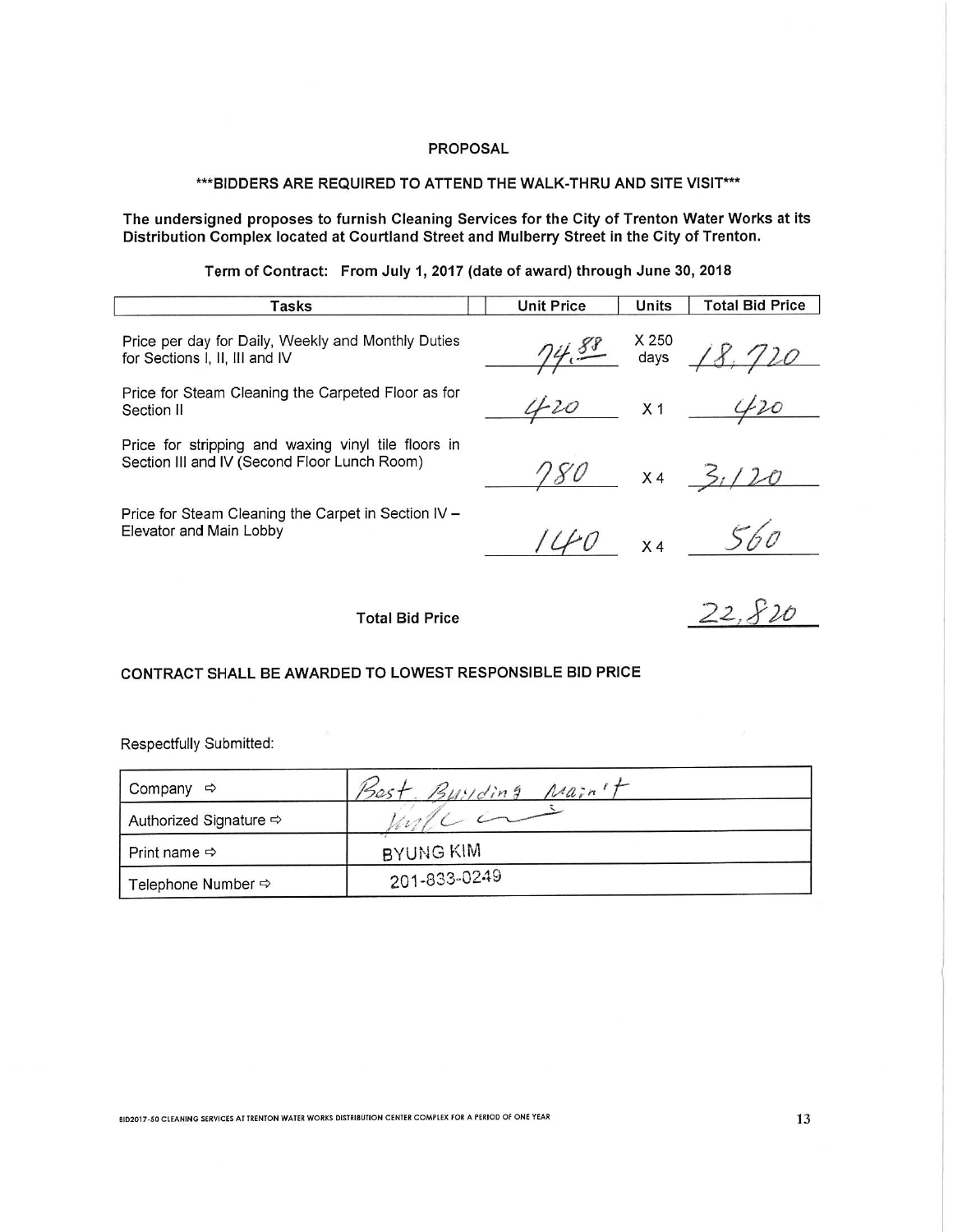## \*\*\* BIDDERS ARE REQUIRED TO ATTEND THE WALK-THRU AND SITE VISIT \*\*\*

The undersigned proposes to furnish Cleaning Services for the City of Trenton Water Works at its<br>Distribution Complex located at Courtland Street and Mulberry Street in the City of Trenton.

Term of Contract: From July 1, 2017 (date of award) through June 30, 2018

| Tasks                                                                                               | <b>Unit Price</b> | <b>Units</b>              | <b>Total Bid Price</b> |
|-----------------------------------------------------------------------------------------------------|-------------------|---------------------------|------------------------|
| Price per day for Daily, Weekly and Monthly Duties<br>for Sections I, II, III and IV                | 74.88             | ___ X 250<br>__  days ___ | 18.720                 |
| Price for Steam Cleaning the Carpeted Floor as for<br>Section II                                    | 420               | X 1                       |                        |
| Price for stripping and waxing vinyl tile floors in<br>Section III and IV (Second Floor Lunch Room) | 180               |                           | $x_4$ $\frac{2}{1}$    |
| Price for Steam Cleaning the Carpet in Section IV -<br>Elevator and Main Lobby                      | $U_0$             |                           | $x4$ 560               |
| <b>Total Bid Price</b>                                                                              |                   |                           | 22,3                   |

# CONTRACT SHALL BE AWARDED TO LOWEST RESPONSIBLE BID PRICE

Respectfully Submitted:

| Company<br>⇨             | $n_{air}$<br>$B$ uyding |  |
|--------------------------|-------------------------|--|
| Authorized Signature ⇔   |                         |  |
| Print name $\Rightarrow$ | BYUNG KIM               |  |
| Telephone Number ⇒       | 201-833-0249            |  |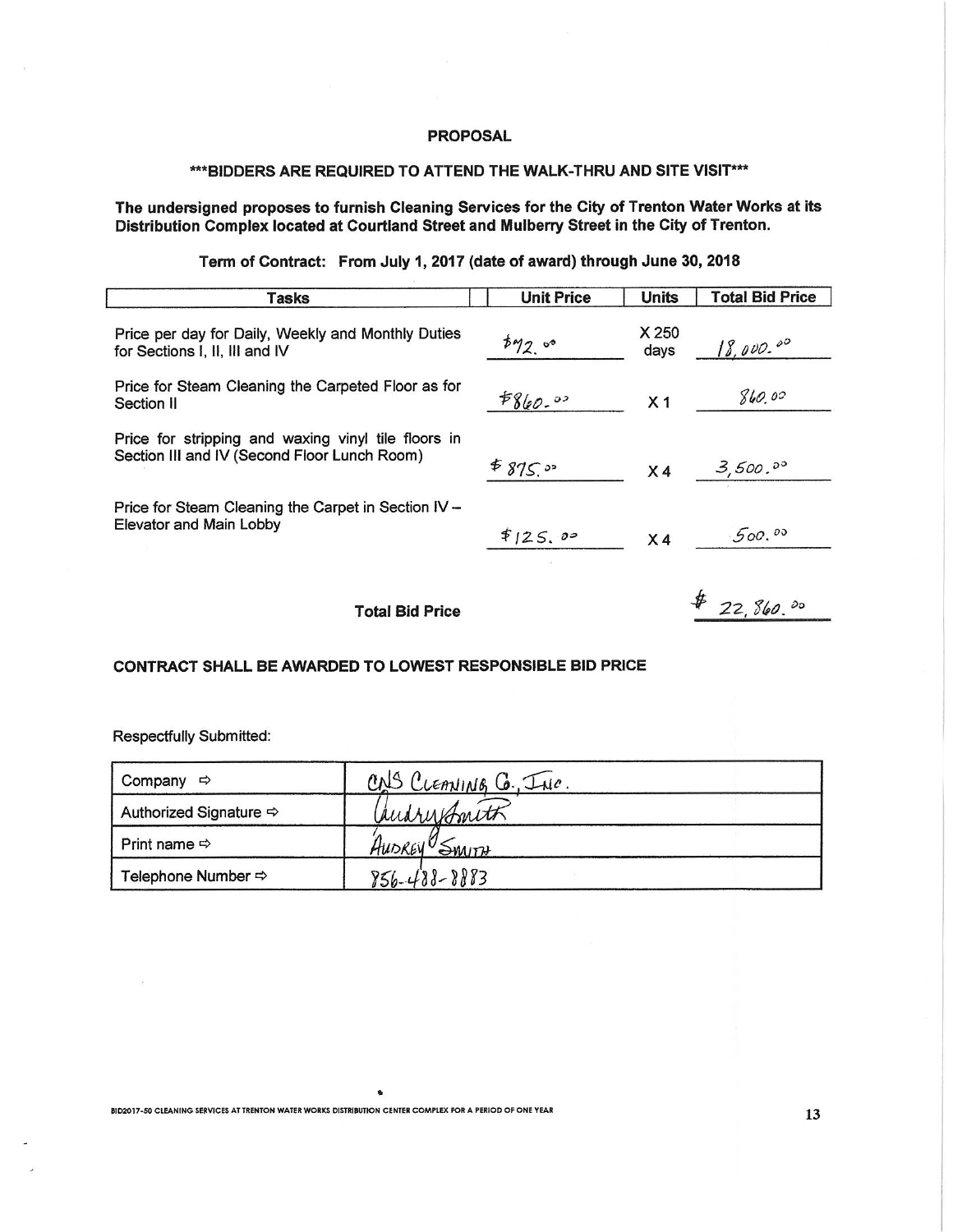#### \*\*\* BIDDERS ARE REQUIRED TO ATTEND THE WALK-THRU AND SITE VISIT \*\*\*

## The undersigned proposes to furnish Cleaning Services for the City of Trenton Water Works at its Distribution Complex located at Courtland Street and Mulberry Street in the City of Trenton.

# Term of Contract: From July 1, 2017 (date of award) through June 30, 2018

| Tasks                                                                                               | <b>Unit Price</b> | <b>Units</b>   | <b>Total Bid Price</b> |
|-----------------------------------------------------------------------------------------------------|-------------------|----------------|------------------------|
| Price per day for Daily, Weekly and Monthly Duties<br>for Sections I, II, III and IV                | 592.00            | X 250<br>days  | 18,000.00              |
| Price for Steam Cleaning the Carpeted Floor as for<br>Section II                                    | 5860.02           | X <sub>1</sub> | 860.00                 |
| Price for stripping and waxing vinyl tile floors in<br>Section III and IV (Second Floor Lunch Room) | \$875.09          | X <sub>4</sub> | 3,500.00               |
| Price for Steam Cleaning the Carpet in Section IV -<br>Elevator and Main Lobby                      | \$125.00          | X <sub>4</sub> | 500.00                 |
| <b>Total Bid Price</b>                                                                              |                   |                | 22, 860.80             |

#### CONTRACT SHALL BE AWARDED TO LOWEST RESPONSIBLE BID PRICE

Respectfully Submitted:

| Company $\Rightarrow$                  | CNS CLEANING G. INC. |  |
|----------------------------------------|----------------------|--|
| Authorized Signature $\Leftrightarrow$ | audresbouth          |  |
| Print name $\Leftrightarrow$           | AUDREY SMITH         |  |
|                                        | $856 - 488 - 8883$   |  |

 $\ddot{\phantom{a}}$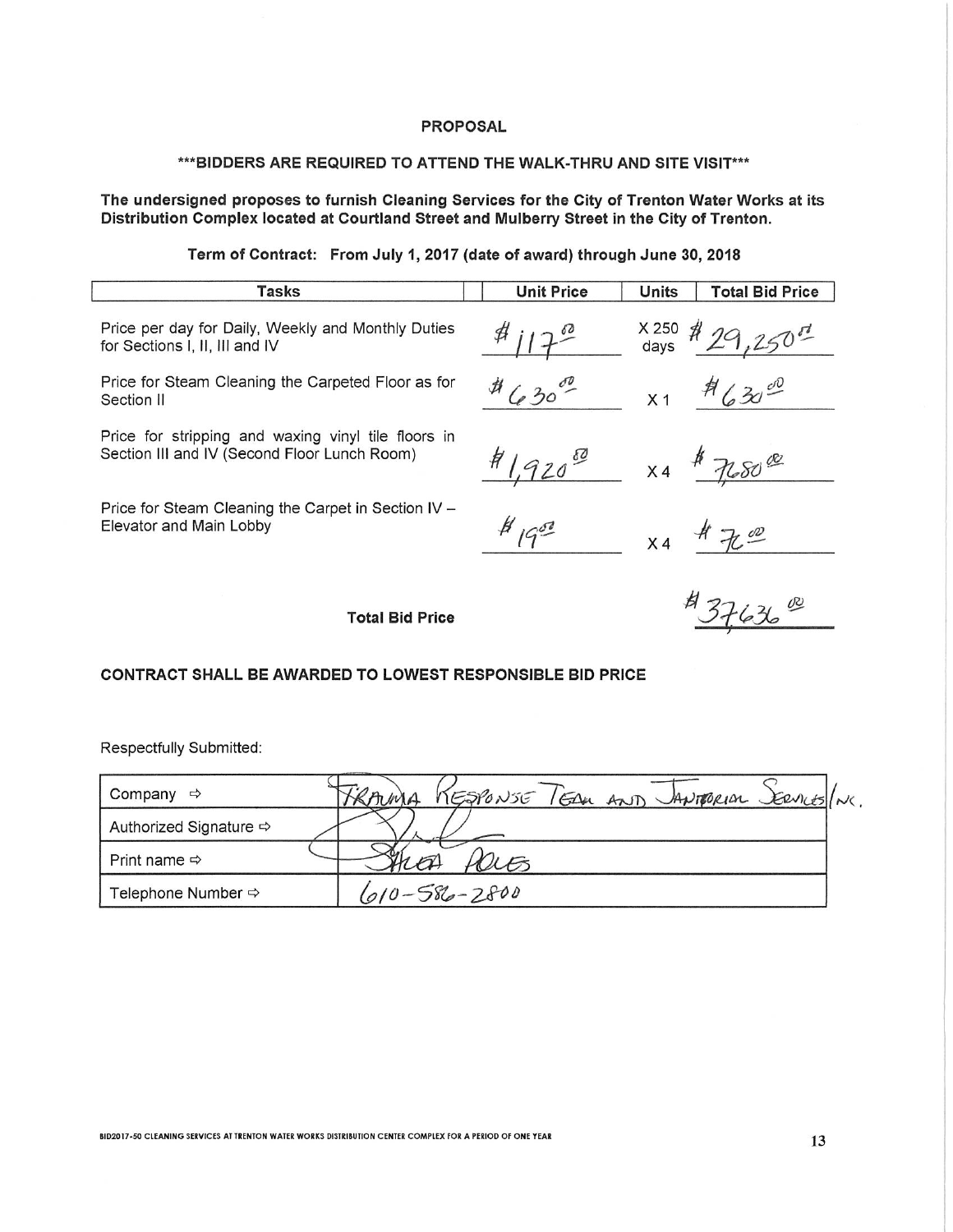#### \*\*\* BIDDERS ARE REQUIRED TO ATTEND THE WALK-THRU AND SITE VISIT \*\*\*

The undersigned proposes to furnish Cleaning Services for the City of Trenton Water Works at its Distribution Complex located at Courtland Street and Mulberry Street in the City of Trenton.

Term of Contract: From July 1, 2017 (date of award) through June 30, 2018

| Tasks                                                                                               | <b>Unit Price</b> | <b>Units</b><br><b>Total Bid Price</b> |
|-----------------------------------------------------------------------------------------------------|-------------------|----------------------------------------|
| Price per day for Daily, Weekly and Monthly Duties<br>for Sections I, II, III and IV                | $\#$ $12^{\circ}$ | $x_{250}$ # 29,                        |
| Price for Steam Cleaning the Carpeted Floor as for<br>Section II                                    | $4630^{00}$       | $H(30^{\circ 0}$<br>X <sub>1</sub>     |
| Price for stripping and waxing vinyl tile floors in<br>Section III and IV (Second Floor Lunch Room) | 1920              | $x 4$ \$ 768000                        |
| Price for Steam Cleaning the Carpet in Section IV -<br>Elevator and Main Lobby                      | $H_{195}$         | 700<br>X4                              |
| Total Bid Price                                                                                     |                   |                                        |

# CONTRACT SHALL BE AWARDED TO LOWEST RESPONSIBLE BID PRICE

Respectfully Submitted:

| Company<br>$\Rightarrow$           | KESPONSE FEDER AND MANTORIAL SERVICES/NC.<br>KAMA |
|------------------------------------|---------------------------------------------------|
| Authorized Signature $\Rightarrow$ |                                                   |
| Print name $\Leftrightarrow$       |                                                   |
| Telephone Number ⇔                 | $610 - 586 - 2800$                                |